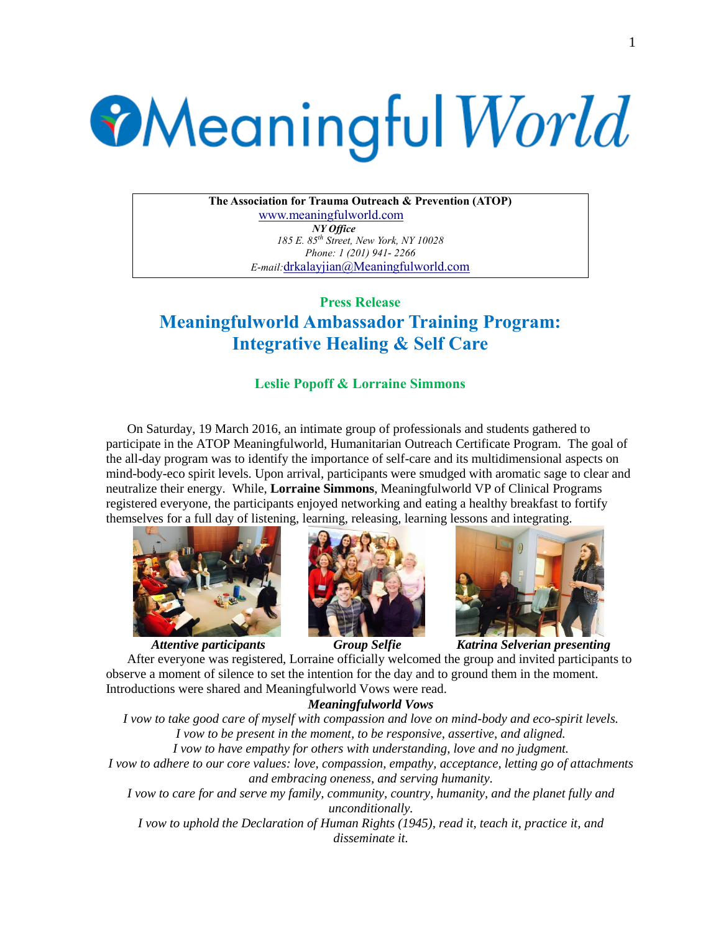# **Meaningful World**

**The Association for Trauma Outreach & Prevention (ATOP)** [www.meaningfulworld.com](http://www.meaningfulworld.com/) *NY Office 185 E. 85th Street, New York, NY 10028 Phone: 1 (201) 941- 2266 E-mail:*[drkalayjian@Meaningfulworld.com](mailto:drkalayjian@Meaningfulworld.com)

# **Press Release Meaningfulworld Ambassador Training Program: Integrative Healing & Self Care**

## **Leslie Popoff & Lorraine Simmons**

On Saturday, 19 March 2016, an intimate group of professionals and students gathered to participate in the ATOP Meaningfulworld, Humanitarian Outreach Certificate Program. The goal of the all-day program was to identify the importance of self-care and its multidimensional aspects on mind-body-eco spirit levels. Upon arrival, participants were smudged with aromatic sage to clear and neutralize their energy. While, **Lorraine Simmons**, Meaningfulworld VP of Clinical Programs registered everyone, the participants enjoyed networking and eating a healthy breakfast to fortify themselves for a full day of listening, learning, releasing, learning lessons and integrating.





 *Attentive participants Group Selfie Katrina Selverian presenting* After everyone was registered, Lorraine officially welcomed the group and invited participants to observe a moment of silence to set the intention for the day and to ground them in the moment. Introductions were shared and Meaningfulworld Vows were read.

## *Meaningfulworld Vows*

*I vow to take good care of myself with compassion and love on mind-body and eco-spirit levels. I vow to be present in the moment, to be responsive, assertive, and aligned. I vow to have empathy for others with understanding, love and no judgment. I vow to adhere to our core values: love, compassion, empathy, acceptance, letting go of attachments and embracing oneness, and serving humanity. I vow to care for and serve my family, community, country, humanity, and the planet fully and unconditionally.*

*I vow to uphold the Declaration of Human Rights (1945), read it, teach it, practice it, and disseminate it.*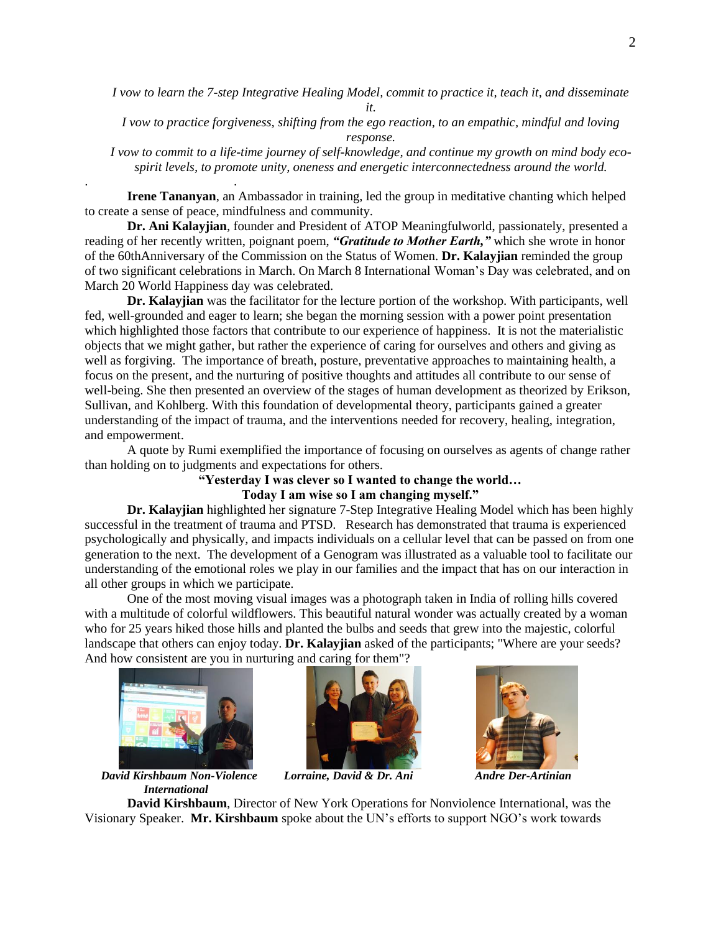*I vow to learn the 7-step Integrative Healing Model, commit to practice it, teach it, and disseminate* 

*it.*

*I vow to practice forgiveness, shifting from the ego reaction, to an empathic, mindful and loving response.* 

*I vow to commit to a life-time journey of self-knowledge, and continue my growth on mind body ecospirit levels, to promote unity, oneness and energetic interconnectedness around the world.*

**Irene Tananyan**, an Ambassador in training, led the group in meditative chanting which helped to create a sense of peace, mindfulness and community.

**Dr. Ani Kalayjian**, founder and President of ATOP Meaningfulworld, passionately, presented a reading of her recently written, poignant poem, *"Gratitude to Mother Earth,"* which she wrote in honor of the 60thAnniversary of the Commission on the Status of Women. **Dr. Kalayjian** reminded the group of two significant celebrations in March. On March 8 International Woman's Day was celebrated, and on March 20 World Happiness day was celebrated.

**Dr. Kalayjian** was the facilitator for the lecture portion of the workshop. With participants, well fed, well-grounded and eager to learn; she began the morning session with a power point presentation which highlighted those factors that contribute to our experience of happiness. It is not the materialistic objects that we might gather, but rather the experience of caring for ourselves and others and giving as well as forgiving. The importance of breath, posture, preventative approaches to maintaining health, a focus on the present, and the nurturing of positive thoughts and attitudes all contribute to our sense of well-being. She then presented an overview of the stages of human development as theorized by Erikson, Sullivan, and Kohlberg. With this foundation of developmental theory, participants gained a greater understanding of the impact of trauma, and the interventions needed for recovery, healing, integration, and empowerment.

A quote by Rumi exemplified the importance of focusing on ourselves as agents of change rather than holding on to judgments and expectations for others.

### **"Yesterday I was clever so I wanted to change the world… Today I am wise so I am changing myself."**

**Dr. Kalayjian** highlighted her signature 7-Step Integrative Healing Model which has been highly successful in the treatment of trauma and PTSD. Research has demonstrated that trauma is experienced psychologically and physically, and impacts individuals on a cellular level that can be passed on from one generation to the next. The development of a Genogram was illustrated as a valuable tool to facilitate our understanding of the emotional roles we play in our families and the impact that has on our interaction in all other groups in which we participate.

One of the most moving visual images was a photograph taken in India of rolling hills covered with a multitude of colorful wildflowers. This beautiful natural wonder was actually created by a woman who for 25 years hiked those hills and planted the bulbs and seeds that grew into the majestic, colorful landscape that others can enjoy today. **Dr. Kalayjian** asked of the participants; "Where are your seeds? And how consistent are you in nurturing and caring for them"?



. .









**David Kirshbaum**, Director of New York Operations for Nonviolence International, was the Visionary Speaker. **Mr. Kirshbaum** spoke about the UN's efforts to support NGO's work towards